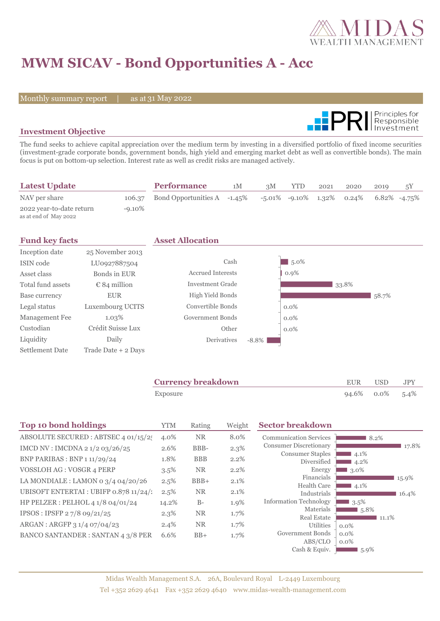

# **MWM SICAV - Bond Opportunities A - Acc**

Monthly summary report | as at 31 May 2022



#### **Investment Objective**

The fund seeks to achieve capital appreciation over the medium term by investing in a diversified portfolio of fixed income securities (investment-grade corporate bonds, government bonds, high yield and emerging market debt as well as convertible bonds). The main focus is put on bottom-up selection. Interest rate as well as credit risks are managed actively.

| <b>Latest Update</b>                              |           | <b>Performance</b>                  | 1M | 3M | <b>YTD</b> | 2021 | 2020 | 2019                                                     | 5Y |
|---------------------------------------------------|-----------|-------------------------------------|----|----|------------|------|------|----------------------------------------------------------|----|
| NAV per share                                     |           | 106.37 Bond Opportunities A -1.45\% |    |    |            |      |      | $-5.01\%$ $-9.10\%$ $1.32\%$ $0.24\%$ $6.82\%$ $-4.75\%$ |    |
| 2022 year-to-date return<br>as at end of May 2022 | $-9.10\%$ |                                     |    |    |            |      |      |                                                          |    |

| <b>Fund key facts</b> |                     | <b>Asset Allocation</b>  |          |         |       |       |
|-----------------------|---------------------|--------------------------|----------|---------|-------|-------|
| Inception date        | 25 November 2013    |                          |          |         |       |       |
| ISIN code             | LU0927887504        | Cash                     |          | $5.0\%$ |       |       |
| Asset class           | Bonds in EUR        | <b>Accrued Interests</b> |          | 0.9%    |       |       |
| Total fund assets     | $\&$ 84 million     | <b>Investment Grade</b>  |          |         | 33.8% |       |
| Base currency         | <b>EUR</b>          | High Yield Bonds         |          |         |       | 58.7% |
| Legal status          | Luxembourg UCITS    | Convertible Bonds        |          | $0.0\%$ |       |       |
| Management Fee        | 1.03%               | Government Bonds         |          | $0.0\%$ |       |       |
| Custodian             | Crédit Suisse Lux   | Other                    |          | $0.0\%$ |       |       |
| Liquidity             | Daily               | Derivatives              | $-8.8\%$ |         |       |       |
| Settlement Date       | Trade Date + 2 Days |                          |          |         |       |       |

| <b>Currency breakdown</b> | EUR             | USD. | JPY |
|---------------------------|-----------------|------|-----|
| Exposure                  | 94.6% 0.0% 5.4% |      |     |

| <b>Top 10 bond holdings</b>            | <b>YTM</b> | Rating     | Weight  | <b>Sector breakdown</b>                |               |       |
|----------------------------------------|------------|------------|---------|----------------------------------------|---------------|-------|
| ABSOLUTE SECURED : ABTSEC 4 01/15/25   | 4.0%       | <b>NR</b>  | 8.0%    | <b>Communication Services</b>          | 8.2%          |       |
| IMCD NV : IMCDNA 2 1/2 03/26/25        | 2.6%       | BBB-       | $2.3\%$ | <b>Consumer Discretionary</b>          |               | 17.8% |
| BNP PARIBAS : BNP 1 11/29/24           | 1.8%       | <b>BBB</b> | 2.2%    | <b>Consumer Staples</b><br>Diversified | 4.1%<br>4.2%  |       |
| VOSSLOH AG : VOSGR 4 PERP              | 3.5%       | <b>NR</b>  | 2.2%    | Energy                                 | $3.0\%$       |       |
| LA MONDIALE : LAMON 0 $3/4$ 04/20/26   | 2.5%       | $BBB+$     | 2.1%    | Financials<br><b>Health Care</b>       | $4.1\%$       | 15.9% |
| UBISOFT ENTERTAI : UBIFP 0.878 11/24/1 | 2.5%       | <b>NR</b>  | 2.1%    | Industrials                            |               | 16.4% |
| HP PELZER : PELHOL 4 1/8 04/01/24      | 14.2%      | $B-$       | 1.9%    | <b>Information Technology</b>          | $3.5\%$       |       |
| IPSOS: IPSFP 27/8 09/21/25             | $2.3\%$    | <b>NR</b>  | 1.7%    | Materials<br><b>Real Estate</b>        | 5.8%<br>11.1% |       |
| ARGAN: ARGFP 3 1/4 07/04/23            | 2.4%       | <b>NR</b>  | 1.7%    | Utilities                              | $0.0\%$       |       |
| BANCO SANTANDER: SANTAN 4 3/8 PER      | 6.6%       | $BB+$      | 1.7%    | Government Bonds                       | $0.0\%$       |       |
|                                        |            |            |         | ABS/CLO<br>Cash & Equiv.               | $0.0\%$       |       |
|                                        |            |            |         |                                        | $5.9\%$       |       |